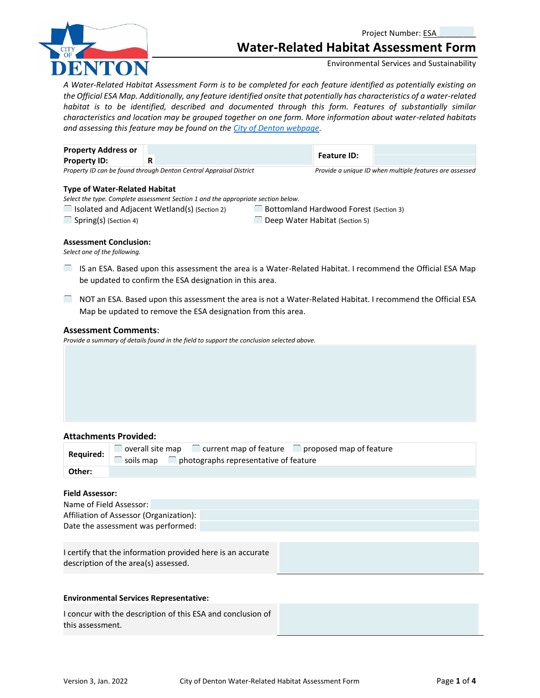

Project Number: ESA

# **Water-Related Habitat Assessment Form**

Environmental Services and Sustainability

*A Water-Related Habitat Assessment Form is to be completed for each feature identified as potentially existing on the Official ESA Map. Additionally, any feature identified onsite that potentially has characteristics of a water-related habitat is to be identified, described and documented through this form. Features of substantially similar characteristics and location may be grouped together on one form. More information about water-related habitats and assessing this feature may be found on the [City of Denton webpage.](https://tx-denton.civicplus.com/244/Environmentally-Sensitive-Areas)*

| <b>Property Address or</b> |                                                                    | <b>Feature ID:</b> |                                                         |
|----------------------------|--------------------------------------------------------------------|--------------------|---------------------------------------------------------|
| <b>Property ID:</b>        |                                                                    |                    |                                                         |
|                            | Property ID can be found through Denton Central Appraisal District |                    | Provide a unique ID when multiple features are assessed |

### **Type of Water-Related Habitat**

*Select the type. Complete assessment Section 1 and the appropriate section below.*

- $\Box$  Isolated and Adjacent Wetland(s) (Section 2)  $\Box$  Bottomland Hardwood Forest (Section 3)
	-

☐ Spring(s) (Section 4) ☐ Deep Water Habitat (Section 5)

## **Assessment Conclusion:**

*Select one of the following.*

- ☐IS an ESA. Based upon this assessment the area is a Water-Related Habitat. I recommend the Official ESA Map be updated to confirm the ESA designation in this area.
- ☐NOT an ESA. Based upon this assessment the area is not a Water-Related Habitat. I recommend the Official ESA Map be updated to remove the ESA designation from this area.

## **Assessment Comments**:

*Provide a summary of details found in the field to support the conclusion selected above.*

## **Attachments Provided:**

| Required: | $\Box$ overall site map $\Box$ current map of feature $\Box$ proposed map of feature<br>soils map $\Box$ photographs representative of feature |
|-----------|------------------------------------------------------------------------------------------------------------------------------------------------|
| Other:    |                                                                                                                                                |

## **Field Assessor:**

| Name of Field Assessor:                 |  |  |  |
|-----------------------------------------|--|--|--|
| Affiliation of Assessor (Organization): |  |  |  |
| Date the assessment was performed:      |  |  |  |
|                                         |  |  |  |

I certify that the information provided here is an accurate description of the area(s) assessed.

## **Environmental Services Representative:**

I concur with the description of this ESA and conclusion of this assessment.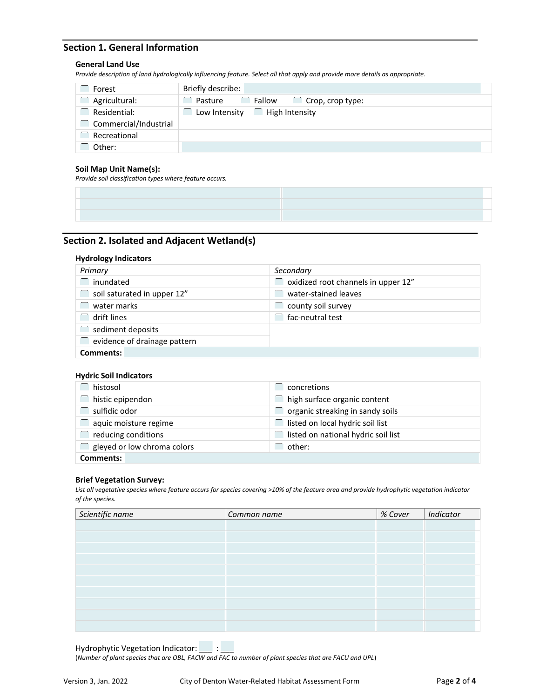## **Section 1. General Information**

## **General Land Use**

*Provide description of land hydrologically influencing feature. Select all that apply and provide more details as appropriate.*

| Forest                | Briefly describe:                            |
|-----------------------|----------------------------------------------|
| Agricultural:         | Fallow<br>Pasture<br>$\Box$ Crop, crop type: |
| Residential:          | High Intensity<br>Low Intensity              |
| Commercial/Industrial |                                              |
| Recreational          |                                              |
| Other:                |                                              |

## **Soil Map Unit Name(s):**

*Provide soil classification types where feature occurs.*

## **Section 2. Isolated and Adjacent Wetland(s)**

### **Hydrology Indicators**

| Primary                      | Secondary                                  |
|------------------------------|--------------------------------------------|
| $\Box$ inundated             | $\Box$ oxidized root channels in upper 12" |
| soil saturated in upper 12"  | water-stained leaves                       |
| water marks                  | county soil survey                         |
| $\Box$ drift lines           | fac-neutral test                           |
| sediment deposits            |                                            |
| evidence of drainage pattern |                                            |
| Comments:                    |                                            |

## **Hydric Soil Indicators**

| histosol                    | concretions                         |
|-----------------------------|-------------------------------------|
| histic epipendon            | high surface organic content        |
| sulfidic odor               | organic streaking in sandy soils    |
| aquic moisture regime       | listed on local hydric soil list    |
| reducing conditions         | listed on national hydric soil list |
| gleyed or low chroma colors | other:                              |
| Comments:                   |                                     |

#### **Brief Vegetation Survey:**

*List all vegetative species where feature occurs for species covering >10% of the feature area and provide hydrophytic vegetation indicator of the species.* 

| Scientific name | Common name | % Cover | Indicator |
|-----------------|-------------|---------|-----------|
|                 |             |         |           |
|                 |             |         |           |
|                 |             |         |           |
|                 |             |         |           |
|                 |             |         |           |
|                 |             |         |           |
|                 |             |         |           |
|                 |             |         |           |
|                 |             |         |           |
|                 |             |         |           |

Hydrophytic Vegetation Indicator: \_\_\_\_ :

(*Number of plant species that are OBL, FACW and FAC to number of plant species that are FACU and UPL*)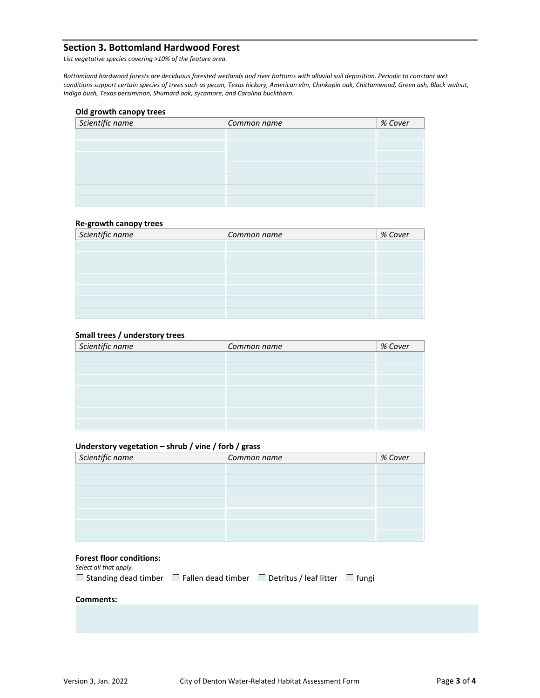## **Section 3. Bottomland Hardwood Forest**

*List vegetative species covering >10% of the feature area.*

*Bottomland hardwood forests are deciduous forested wetlands and river bottoms with alluvial soil deposition. Periodic to constant wet conditions support certain species of trees such as pecan, Texas hickory, American elm, Chinkapin oak, Chittamwood, Green ash, Black walnut, Indigo bush, Texas persimmon, Shumard oak, sycamore, and Carolina buckthorn.*

## **Old growth canopy trees**

| Scientific name | Common name | % Cover |
|-----------------|-------------|---------|
|                 |             |         |
|                 |             |         |
|                 |             |         |
|                 |             |         |
|                 |             |         |
|                 |             |         |
|                 |             |         |

### **Re-growth canopy trees**

| Scientific name | Common name | % Cover |
|-----------------|-------------|---------|
|                 |             |         |
|                 |             |         |
|                 |             |         |
|                 |             |         |
|                 |             |         |
|                 |             |         |
|                 |             |         |

## **Small trees / understory trees**

| Scientific name | Common name | % Cover |
|-----------------|-------------|---------|
|                 |             |         |
|                 |             |         |
|                 |             |         |
|                 |             |         |
|                 |             |         |
|                 |             |         |
|                 |             |         |

## **Understory vegetation – shrub / vine / forb / grass**

| _______         | __          |         |  |  |
|-----------------|-------------|---------|--|--|
| Scientific name | Common name | % Cover |  |  |
|                 |             |         |  |  |
|                 |             |         |  |  |
|                 |             |         |  |  |
|                 |             |         |  |  |
|                 |             |         |  |  |
|                 |             |         |  |  |
|                 |             |         |  |  |

## **Forest floor conditions:**

*Select all that apply.*

| Standing dead timber | े Fallen dead timber | ै Detritus / leaf litter | Tfungi |
|----------------------|----------------------|--------------------------|--------|
|----------------------|----------------------|--------------------------|--------|

#### **Comments:**